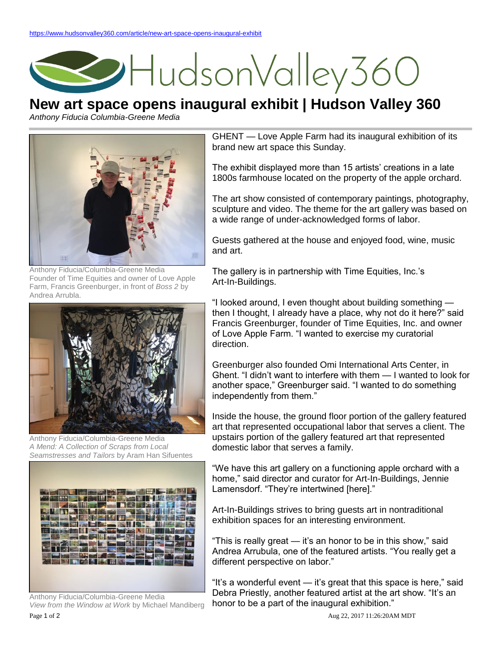## HudsonValley360

## **New art space opens inaugural exhibit | Hudson Valley 360**

*Anthony Fiducia Columbia-Greene Media*



Anthony Fiducia/Columbia-Greene Media Founder of Time Equities and owner of Love Apple Farm, Francis Greenburger, in front of *Boss 2* by Andrea Arrubla.



Anthony Fiducia/Columbia-Greene Media *A Mend: A Collection of Scraps from Local Seamstresses and Tailors* by Aram Han Sifuentes



Page 1 of 2 Aug 22, 2017 11:26:20AM MDT Anthony Fiducia/Columbia-Greene Media *View from the Window at Work* by Michael Mandiberg

GHENT — Love Apple Farm had its inaugural exhibition of its brand new art space this Sunday.

The exhibit displayed more than 15 artists' creations in a late 1800s farmhouse located on the property of the apple orchard.

The art show consisted of contemporary paintings, photography, sculpture and video. The theme for the art gallery was based on a wide range of under-acknowledged forms of labor.

Guests gathered at the house and enjoyed food, wine, music and art.

The gallery is in partnership with Time Equities, Inc.'s Art-In-Buildings.

"I looked around, I even thought about building something then I thought, I already have a place, why not do it here?" said Francis Greenburger, founder of Time Equities, Inc. and owner of Love Apple Farm. "I wanted to exercise my curatorial direction.

Greenburger also founded Omi International Arts Center, in Ghent. "I didn't want to interfere with them — I wanted to look for another space," Greenburger said. "I wanted to do something independently from them."

Inside the house, the ground floor portion of the gallery featured art that represented occupational labor that serves a client. The upstairs portion of the gallery featured art that represented domestic labor that serves a family.

"We have this art gallery on a functioning apple orchard with a home," said director and curator for Art-In-Buildings, Jennie Lamensdorf. "They're intertwined [here]."

Art-In-Buildings strives to bring guests art in nontraditional exhibition spaces for an interesting environment.

"This is really great — it's an honor to be in this show," said Andrea Arrubula, one of the featured artists. "You really get a different perspective on labor."

"It's a wonderful event — it's great that this space is here," said Debra Priestly, another featured artist at the art show. "It's an honor to be a part of the inaugural exhibition."